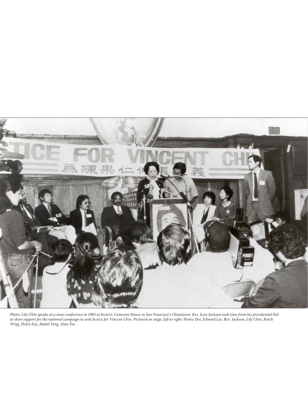

*Photo: Lily Chin speaks at a news conference in 1983 at historic Cameron House in San Francisco's Chinatown. Rev. Jesse Jackson took time from his presidential bid to show support for the national campaign to seek Justice for Vincent Chin. Pictured on stage, left to right: Henry Der, Edward Lee, Rev. Jackson, Lily Chin, Butch Wing, Helen Zia, Mabel Teng, Alan Yee.*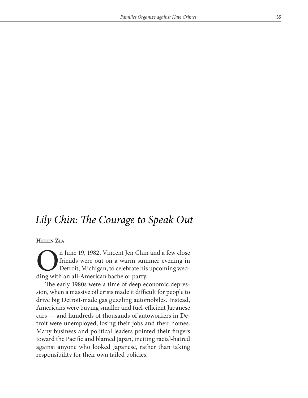## *Lily Chin: The Courage to Speak Out*

## **Helen Zia**

n June 19, 1982, Vincent Jen Chin and a few close<br>friends were out on a warm summer evening in<br>Detroit, Michigan, to celebrate his upcoming wed-<br>ding with an all-American bachelor party. friends were out on a warm summer evening in Detroit, Michigan, to celebrate his upcoming wedding with an all-American bachelor party.

The early 1980s were a time of deep economic depression, when a massive oil crisis made it difficult for people to drive big Detroit-made gas guzzling automobiles. Instead, Americans were buying smaller and fuel-efficient Japanese cars — and hundreds of thousands of autoworkers in Detroit were unemployed, losing their jobs and their homes. Many business and political leaders pointed their fingers toward the Pacific and blamed Japan, inciting racial-hatred against anyone who looked Japanese, rather than taking responsibility for their own failed policies.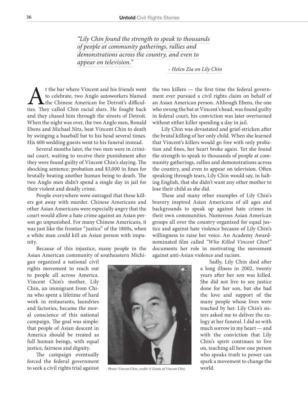*"Lily Chin found the strength to speak to thousands of people at community gatherings, rallies and demonstrations across the country, and even to appear on television."*

*– Helen Zia on Lily Chin*

At the bar where Vincent and his friends went<br>to celebrate, two Anglo autoworkers blamed<br>the Chinese American for Detroit's difficul-<br>ties. They called Chin racial slurs. He fought back to celebrate, two Anglo autoworkers blamed the Chinese American for Detroit's difficuland they chased him through the streets of Detroit. When the night was over, the two Anglo men, Ronald Ebens and Michael Nitz, beat Vincent Chin to death by swinging a baseball bat to his head several times. His 400 wedding guests went to his funeral instead.

Several months later, the two men were in criminal court, waiting to receive their punishment after they were found guilty of Vincent Chin's slaying. The shocking sentence: probation and \$3,000 in fines for brutally beating another human being to death. The two Anglo men didn't spend a single day in jail for their violent and deadly crime.

People everywhere were outraged that these killers got away with murder. Chinese Americans and other Asian Americans were especially angry that the court would allow a hate crime against an Asian person go unpunished. For many Chinese Americans, it was just like the frontier "justice" of the 1800s, when a white man could kill an Asian person with impunity.

Because of this injustice, many people in the Asian American community of southeastern Michi-

gan organized a national civil rights movement to reach out to people all across America. Vincent Chin's mother, Lily Chin, an immigrant from China who spent a lifetime of hard work in restaurants, laundries and factories, became the moral conscience of this national campaign. The goal was simple: that people of Asian descent in America should be treated as full human beings, with equal justice, fairness and dignity.

The campaign eventually forced the federal government to seek a civil rights trial against

the two killers — the first time the federal government ever pursued a civil rights claim on behalf of an Asian American person. Although Ebens, the one who swung the bat at Vincent's head, was found guilty in federal court, his conviction was later overturned without either killer spending a day in jail.

Lily Chin was devastated and grief-stricken after the brutal killing of her only child. When she learned that Vincent's killers would go free with only probation and fines, her heart broke again. Yet she found the strength to speak to thousands of people at community gatherings, rallies and demonstrations across the country, and even to appear on television. Often speaking through tears, Lily Chin would say, in halting English, that she didn't want any other mother to lose their child as she did.

These and many other examples of Lily Chin's bravery inspired Asian Americans of all ages and backgrounds to speak up against hate crimes in their own communities. Numerous Asian American groups all over the country organized for equal justice and against hate violence because of Lily Chin's willingness to raise her voice. An Academy Awardnominated film called *"Who Killed Vincent Chin?"* documents her role in motivating the movement against anti-Asian violence and racism.

> Sadly, Lily Chin died after a long illness in 2002, twenty years after her son was killed. She did not live to see justice done for her son, but she had the love and support of the many people whose lives were touched by her. Lily Chin's sisters asked me to deliver the eulogy at her funeral. I did so with much sorrow in my heart — and with the conviction that Lily Chin's spirit continues to live on, teaching all how one person who speaks truth to power can spark a movement to change the world.



*Photo: Vincent Chin, credit:* © *Estate of Vincent Chin.*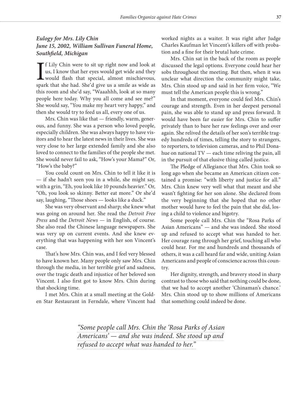## *Eulogy for Mrs. Lily Chin June 15, 2002, William Sullivan Funeral Home, Southfield, Michigan*

 $\prod_{\text{span}}$ f Lily Chin were to sit up right now and look at us, I know that her eyes would get wide and they would flash that special, almost mischievous, spark that she had. She'd give us a smile as wide as this room and she'd say, "Waaahhh, look at so many people here today. Why you all come and see me?" She would say, "You make my heart very happy," and then she would try to feed us all, every one of us.

Mrs. Chin was like that — friendly, warm, generous, and funny. She was a person who loved people, especially children. She was always happy to have visitors and to hear the latest news in their lives. She was very close to her large extended family and she also loved to connect to the families of the people she met. She would never fail to ask, "How's your Mama?" Or, "How's the baby?"

You could count on Mrs. Chin to tell it like it is — if she hadn't seen you in a while, she might say, with a grin, "Eh, you look like 10 pounds heavier." Or, "Oh, you look so skinny. Better eat more." Or she'd say, laughing, "Those shoes — looks like a duck."

She was very observant and sharp; she knew what was going on around her. She read the *Detroit Free Press* and the *Detroit News* — in English, of course. She also read the Chinese language newspapers. She was very up on current events. And she knew everything that was happening with her son Vincent's case.

That's how Mrs. Chin was, and I feel very blessed to have known her. Many people only saw Mrs. Chin through the media, in her terrible grief and sadness, over the tragic death and injustice of her beloved son Vincent. I also first got to know Mrs. Chin during that shocking time.

I met Mrs. Chin at a small meeting at the Golden Star Restaurant in Ferndale, where Vincent had worked nights as a waiter. It was right after Judge Charles Kaufman let Vincent's killers off with probation and a fine for their brutal hate crime.

Mrs. Chin sat in the back of the room as people discussed the legal options. Everyone could hear her sobs throughout the meeting. But then, when it was unclear what direction the community might take, Mrs. Chin stood up and said in her firm voice, "We must tell the American people this is wrong."

In that moment, everyone could feel Mrs. Chin's courage and strength. Even in her deepest personal pain, she was able to stand up and press forward. It would have been far easier for Mrs. Chin to suffer privately than to bare her raw feelings over and over again. She relived the details of her son's terrible tragedy hundreds of times, telling the story to strangers, to reporters, to television cameras, and to Phil Donahue on national TV — each time reliving the pain, all in the pursuit of that elusive thing called justice.

The Pledge of Allegiance that Mrs. Chin took so long ago when she became an American citizen contained a promise: "with liberty and justice for all." Mrs. Chin knew very well what that meant and she wasn't fighting for her son alone. She declared from the very beginning that she hoped that no other mother would have to feel the pain that she did, losing a child to violence and bigotry.

Some people call Mrs. Chin the "Rosa Parks of Asian Americans" — and she was indeed. She stood up and refused to accept what was handed to her. Her courage rang through her grief, touching all who could hear. For me and hundreds and thousands of others, it was a call heard far and wide, uniting Asian Americans and people of conscience across this country.

Her dignity, strength, and bravery stood in sharp contrast to those who said that nothing could be done, that we had to accept another 'Chinaman's chance.' Mrs. Chin stood up to show millions of Americans that something could indeed be done.

*"Some people call Mrs. Chin the 'Rosa Parks of Asian Americans' — and she was indeed. She stood up and refused to accept what was handed to her."*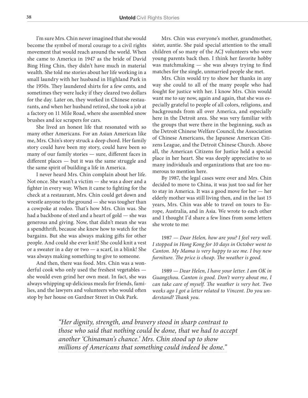I'm sure Mrs. Chin never imagined that she would become the symbol of moral courage to a civil rights movement that would reach around the world. When she came to America in 1947 as the bride of David Bing Hing Chin, they didn't have much in material wealth. She told me stories about her life working in a small laundry with her husband in Highland Park in the 1950s. They laundered shirts for a few cents, and sometimes they were lucky if they cleared two dollars for the day. Later on, they worked in Chinese restaurants, and when her husband retired, she took a job at a factory on 11 Mile Road, where she assembled snow brushes and ice scrapers for cars.

She lived an honest life that resonated with so many other Americans. For an Asian American like me, Mrs. Chin's story struck a deep chord. Her family story could have been my story, could have been so many of our family stories — sure, different faces in different places — but it was the same struggle and the same spirit of building a life in America.

I never heard Mrs. Chin complain about her life. Not once. She wasn't a victim — she was a doer and a fighter in every way. When it came to fighting for the check at a restaurant, Mrs. Chin could get down and wrestle anyone to the ground — she was tougher than a cowpoke at rodeo. That's how Mrs. Chin was. She had a backbone of steel and a heart of gold — she was generous and giving. Now, that didn't mean she was a spendthrift, because she knew how to watch for the bargains. But she was always making gifts for other people. And could she ever knit! She could knit a vest or a sweater in a day or two — a scarf, in a blink! She was always making something to give to someone.

And then, there was food. Mrs. Chin was a wonderful cook who only used the freshest vegetables she would even grind her own meat. In fact, she was always whipping up delicious meals for friends, families, and the lawyers and volunteers who would often stop by her house on Gardner Street in Oak Park.

Mrs. Chin was everyone's mother, grandmother, sister, auntie. She paid special attention to the small children of so many of the ACJ volunteers who were young parents back then. I think her favorite hobby was matchmaking — she was always trying to find matches for the single, unmarried people she met.

Mrs. Chin would try to show her thanks in any way she could to all of the many people who had fought for justice with her. I know Mrs. Chin would want me to say now, again and again, that she was especially grateful to people of all colors, religions, and backgrounds from all over America, and especially here in the Detroit area. She was very familiar with the groups that were there in the beginning, such as the Detroit Chinese Welfare Council, the Association of Chinese Americans, the Japanese American Citizens League, and the Detroit Chinese Church. Above all, the American Citizens for Justice held a special place in her heart. She was deeply appreciative to so many individuals and organizations that are too numerous to mention here.

By 1987, the legal cases were over and Mrs. Chin decided to move to China, it was just too sad for her to stay in America. It was a good move for her — her elderly mother was still living then, and in the last 15 years, Mrs. Chin was able to travel on tours to Europe, Australia, and in Asia. We wrote to each other and I thought I'd share a few lines from some letters she wrote to me:

1987 — *Dear Helen, how are you? I feel very well. I stopped in Hong Kong for 10 days in October went to Canton. My Mama is very happy to see me. I buy new furniture. The price is cheap. The weather is good.*

1989 — *Dear Helen, I have your letter. I am OK in Guangzhou. Canton is good. Don't worry about me, I can take care of myself. The weather is very hot. Two weeks ago I got a letter related to Vincent. Do you understand? Thank you.*

*"Her dignity, strength, and bravery stood in sharp contrast to those who said that nothing could be done, that we had to accept another 'Chinaman's chance.' Mrs. Chin stood up to show millions of Americans that something could indeed be done."*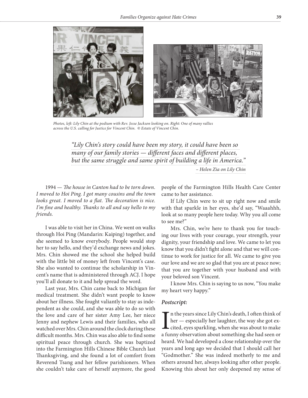



*Photos, left: Lily Chin at the podium with Rev. Jesse Jackson looking on. Right: One of many rallies across the U.S. calling for Justice for Vincent Chin.* © *Estate of Vincent Chin.*

*"Lily Chin's story could have been my story, it could have been so many of our family stories — different faces and different places, but the same struggle and same spirit of building a life in America."*

*– Helen Zia on Lily Chin*

1994 — *The house in Canton had to be torn down. I moved to Hoi Ping. I got many cousins and the town looks great. I moved to a flat. The decoration is nice. I'm fine and healthy. Thanks to all and say hello to my friends.*

I was able to visit her in China. We went on walks through Hoi Ping (Mandarin: Kaiping) together, and she seemed to know everybody. People would stop her to say hello, and they'd exchange news and jokes. Mrs. Chin showed me the school she helped build with the little bit of money left from Vincent's case. She also wanted to continue the scholarship in Vincent's name that is administered through ACJ. I hope you'll all donate to it and help spread the word.

Last year, Mrs. Chin came back to Michigan for medical treatment. She didn't want people to know about her illness. She fought valiantly to stay as independent as she could, and she was able to do so with the love and care of her sister Amy Lee, her niece Jenny and nephew Lewis and their families, who all watched over Mrs. Chin around the clock during these difficult months. Mrs. Chin was also able to find some spiritual peace through church. She was baptized into the Farmington Hills Chinese Bible Church last Thanksgiving, and she found a lot of comfort from Reverend Tsang and her fellow parishioners. When she couldn't take care of herself anymore, the good people of the Farmington Hills Health Care Center came to her assistance.

If Lily Chin were to sit up right now and smile with that sparkle in her eyes, she'd say, "Waaahhh, look at so many people here today. Why you all come to see me?"

Mrs. Chin, we're here to thank you for touching our lives with your courage, your strength, your dignity, your friendship and love. We came to let you know that you didn't fight alone and that we will continue to work for justice for all. We came to give you our love and we are so glad that you are at peace now; that you are together with your husband and with your beloved son Vincent.

I know Mrs. Chin is saying to us now, "You make my heart very happy."

## *Postscript:*

 $\prod_{a \text{ } \text{fin}}$ n the years since Lily Chin's death, I often think of her — especially her laughter, the way she got excited, eyes sparkling, when she was about to make a funny observation about something she had seen or heard. We had developed a close relationship over the years and long ago we decided that I should call her "Godmother." She was indeed motherly to me and others around her, always looking after other people. Knowing this about her only deepened my sense of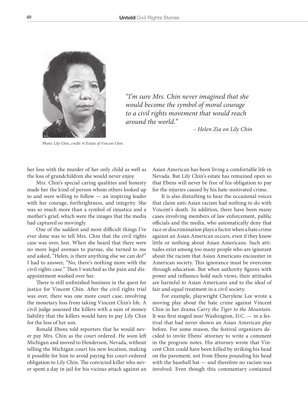

*"I'm sure Mrs. Chin never imagined that she would become the symbol of moral courage to a civil rights movement that would reach around the world."*

*– Helen Zia on Lily Chin*

*Photo: Lily Chin, credit:* © *Estate of Vincent Chin.*

her loss with the murder of her only child as well as the loss of grandchildren she would never enjoy.

Mrs. Chin's special caring qualities and honesty made her the kind of person whom others looked up to and were willing to follow — an inspiring leader with her courage, forthrightness, and integrity. She was so much more than a symbol of injustice and a mother's grief, which were the images that the media had captured so movingly.

One of the saddest and most difficult things I've ever done was to tell Mrs. Chin that the civil rights case was over, lost. When she heard that there were no more legal avenues to pursue, she turned to me and asked, "Helen, is there anything else we can do?" I had to answer, "No, there's nothing more with the civil rights case." Then I watched as the pain and disappointment washed over her.

There is still unfinished business in the quest for justice for Vincent Chin. After the civil rights trial was over, there was one more court case, involving the monetary loss from taking Vincent Chin's life. A civil judge assessed the killers with a sum of money liability that the killers would have to pay Lily Chin for the loss of her son.

Ronald Ebens told reporters that he would never pay Mrs. Chin as the court ordered. He soon left Michigan and moved to Henderson, Nevada, without telling the Michigan court his new location, making it possible for him to avoid paying his court-ordered obligation to Lily Chin. The convicted killer who never spent a day in jail for his vicious attack against an Asian American has been living a comfortable life in Nevada. But Lily Chin's estate has remained open so that Ebens will never be free of his obligation to pay for the injuries caused by his hate-motivated crime.

It is also disturbing to hear the occasional voices that claim anti-Asian racism had nothing to do with Vincent's death. In addition, there have been many cases involving members of law enforcement, public officials and the media, who automatically deny that race or discrimination plays a factor when a hate crime against an Asian American occurs, even if they know little or nothing about Asian Americans. Such attitudes exist among too many people who are ignorant about the racism that Asian Americans encounter in American society. This ignorance must be overcome through education. But when authority figures with power and influence hold such views, their attitudes are harmful to Asian Americans and to the ideal of fair and equal treatment in a civil society.

For example, playwright Cherylene Lee wrote a moving play about the hate crime against Vincent Chin in her drama *Carry the Tiger to the Mountain*. It was first staged near Washington, D.C. — in a festival that had never shown an Asian American play before. For some reason, the festival organizers decided to invite Ebens' attorney to write a comment in the program notes. His attorney wrote that Vincent Chin could have been killed by striking his head on the pavement, not from Ebens pounding his head with the baseball bat — and therefore no racism was involved. Even though this commentary contained